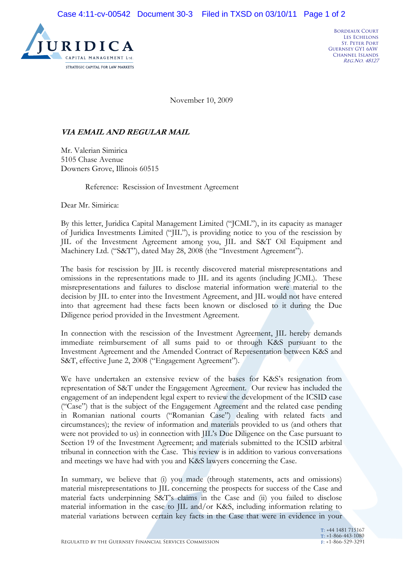

November 10, 2009

## **VIA EMAIL AND REGULAR MAIL**

Mr. Valerian Simirica 5105 Chase Avenue Downers Grove, Illinois 60515

Reference: Rescission of Investment Agreement

Dear Mr. Simirica:

By this letter, Juridica Capital Management Limited ("JCML"), in its capacity as manager of Juridica Investments Limited ("JIL"), is providing notice to you of the rescission by JIL of the Investment Agreement among you, JIL and S&T Oil Equipment and Machinery Ltd. ("S&T"), dated May 28, 2008 (the "Investment Agreement").

The basis for rescission by JIL is recently discovered material misrepresentations and omissions in the representations made to JIL and its agents (including JCML). These misrepresentations and failures to disclose material information were material to the decision by JIL to enter into the Investment Agreement, and JIL would not have entered into that agreement had these facts been known or disclosed to it during the Due Diligence period provided in the Investment Agreement.

In connection with the rescission of the Investment Agreement, JIL hereby demands immediate reimbursement of all sums paid to or through K&S pursuant to the Investment Agreement and the Amended Contract of Representation between K&S and S&T, effective June 2, 2008 ("Engagement Agreement").

We have undertaken an extensive review of the bases for K&S's resignation from representation of S&T under the Engagement Agreement. Our review has included the engagement of an independent legal expert to review the development of the ICSID case ("Case") that is the subject of the Engagement Agreement and the related case pending in Romanian national courts ("Romanian Case") dealing with related facts and circumstances); the review of information and materials provided to us (and others that were not provided to us) in connection with JIL's Due Diligence on the Case pursuant to Section 19 of the Investment Agreement; and materials submitted to the ICSID arbitral tribunal in connection with the Case. This review is in addition to various conversations and meetings we have had with you and K&S lawyers concerning the Case.

In summary, we believe that (i) you made (through statements, acts and omissions) material misrepresentations to JIL concerning the prospects for success of the Case and material facts underpinning S&T's claims in the Case and (ii) you failed to disclose material information in the case to JIL and/or K&S, including information relating to material variations between certain key facts in the Case that were in evidence in your